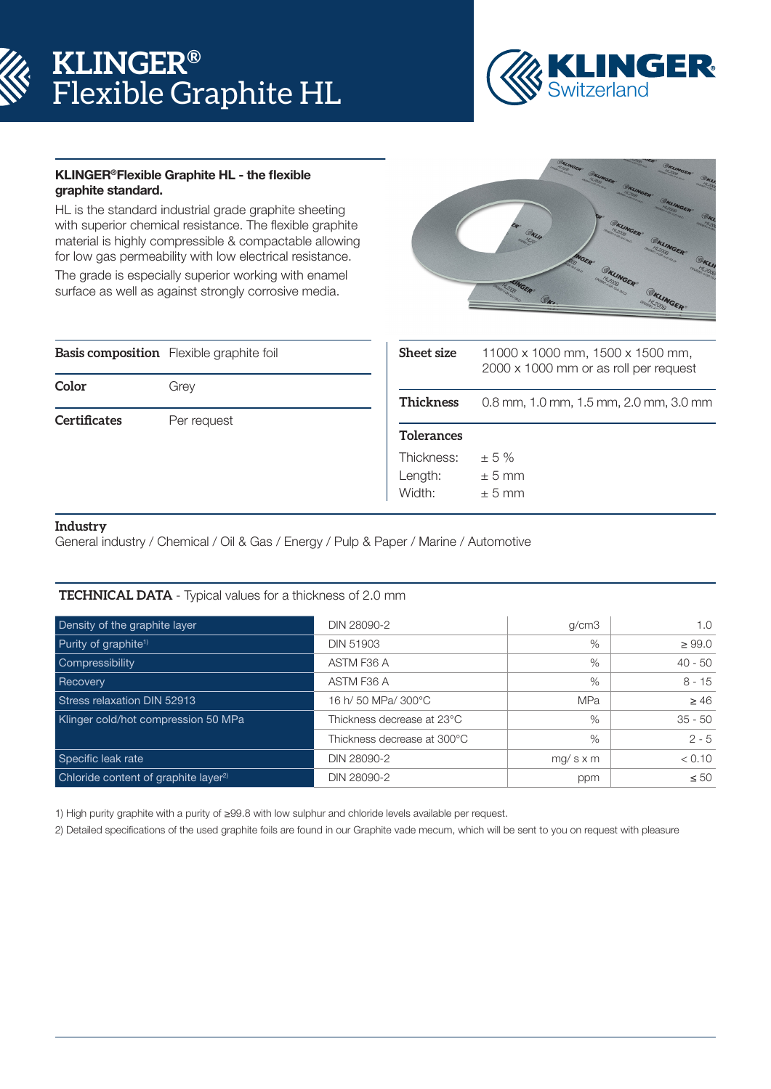# **KLINGER®** Flexible Graphite HL



### KLINGER®Flexible Graphite HL - the flexible graphite standard.

HL is the standard industrial grade graphite sheeting with superior chemical resistance. The flexible graphite material is highly compressible & compactable allowing for low gas permeability with low electrical resistance.

The grade is especially superior working with enamel surface as well as against strongly corrosive media.



|                     | <b>Basis composition</b> Flexible graphite foil |
|---------------------|-------------------------------------------------|
| Color               | Grey                                            |
| <b>Certificates</b> | Per request                                     |

| <b>Sheet size</b>               | 11000 x 1000 mm, 1500 x 1500 mm,<br>2000 x 1000 mm or as roll per request |
|---------------------------------|---------------------------------------------------------------------------|
| <b>Thickness</b>                | 0.8 mm, 1.0 mm, 1.5 mm, 2.0 mm, 3.0 mm                                    |
| <b>Tolerances</b>               |                                                                           |
| Thickness:<br>Length:<br>Width: | ± 5%<br>$+5$ mm<br>$+5$ mm                                                |

### **Industry**

General industry / Chemical / Oil & Gas / Energy / Pulp & Paper / Marine / Automotive

#### **TECHNICAL DATA** - Typical values for a thickness of 2.0 mm

| Density of the graphite layer                    | DIN 28090-2                 | g/cm3           | 1.0         |
|--------------------------------------------------|-----------------------------|-----------------|-------------|
| Purity of graphite <sup>1)</sup>                 | <b>DIN 51903</b>            | $\%$            | $\geq 99.0$ |
| Compressibility                                  | ASTM F36 A                  | $\%$            | $40 - 50$   |
| Recovery                                         | ASTM F36 A                  | $\%$            | $8 - 15$    |
| Stress relaxation DIN 52913                      | 16 h/ 50 MPa/ 300°C         | <b>MPa</b>      | $\geq 46$   |
| Klinger cold/hot compression 50 MPa              | Thickness decrease at 23°C  | $\%$            | $35 - 50$   |
|                                                  | Thickness decrease at 300°C | $\%$            | $2 - 5$     |
| Specific leak rate                               | DIN 28090-2                 | $mg/s \times m$ | < 0.10      |
| Chloride content of graphite layer <sup>2)</sup> | DIN 28090-2                 | ppm             | $\leq 50$   |

1) High purity graphite with a purity of ≥99.8 with low sulphur and chloride levels available per request.

2) Detailed specifications of the used graphite foils are found in our Graphite vade mecum, which will be sent to you on request with pleasure